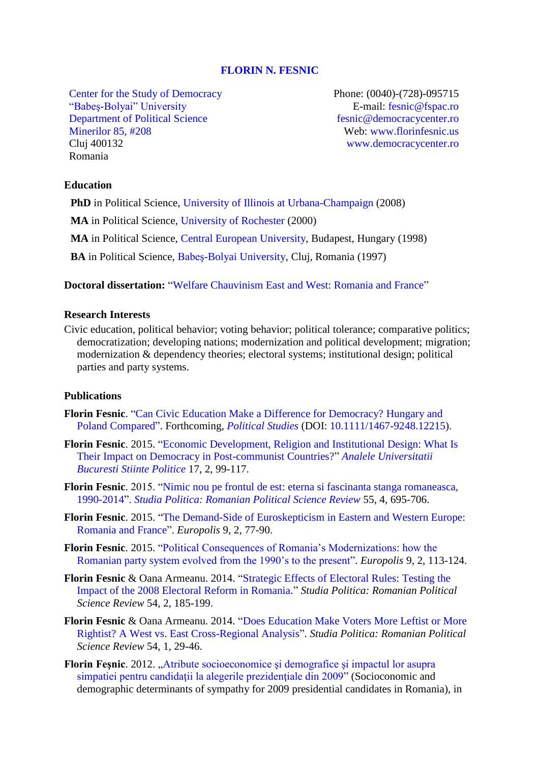#### **[FLORIN N. FESNIC](http://www.florinfesnic.us/)**

[Center for the Study of Democracy](http://www.democracycenter.ro/) ["Babeş-Bolyai" University](http://www.ubbcluj.ro/en/) [Department of Political Science](http://fspac.ubbcluj.ro/polito/en/) [Minerilor 85, #208](https://www.google.com/maps/place/FSPAC/@46.7718383,23.6071659,15z/data=!4m2!3m1!1s0x0:0x26c7a15ac3b3be71) Cluj 400132 Romania

Phone: (0040)-(728)-095715 E-mail: [fesnic@fspac.ro](mailto:fesnic@fspac.ro) [fesnic@democracycenter.ro](mailto:fesnic@democracycenter.ro) Web: [www.florinfesnic.us](file:///C:/Users/fesnic/AppData/Local/Temp/www.florinfesnic.us) [www.democracycenter.ro](http://www.democracycenter.ro/)

### **Education**

**PhD** in Political Science, [University of Illinois at](http://www.pol.illinois.edu/) Urbana-Champaign (2008)

**MA** in Political Science, [University of Rochester](http://www.rochester.edu/college/psc/) (2000)

**MA** in Political Science, [Central European University,](http://politicalscience.ceu.edu/) Budapest, Hungary (1998)

**BA** in Political Science, [Babeş-Bolyai University,](http://fspac.ubbcluj.ro/polito/en/) Cluj, Romania (1997)

**Doctoral dissertation:** ["Welfare Chauvinism East and West: Romania and France"](https://dl.dropboxusercontent.com/u/19532654/dissertation.pdf)

### **Research Interests**

Civic education, political behavior; voting behavior; political tolerance; comparative politics; democratization; developing nations; modernization and political development; migration; modernization & dependency theories; electoral systems; institutional design; political parties and party systems.

### **Publications**

- **Florin Fesnic**. ["Can Civic Education Make a Difference for Democracy? Hungary and](http://onlinelibrary.wiley.com/doi/10.1111/1467-9248.12215/abstract)  [Poland Compared"](http://onlinelibrary.wiley.com/doi/10.1111/1467-9248.12215/abstract). Forthcoming, *[Political Studies](http://onlinelibrary.wiley.com/journal/10.1111/%28ISSN%291467-9248)* (DOI: [10.1111/1467-9248.12215\)](http://onlinelibrary.wiley.com/doi/10.1111/1467-9248.12215/abstract).
- **Florin Fesnic**. 2015. ["Economic Development, Religion and Institutional Design: What Is](https://drive.google.com/file/d/0B_NHEDJiWRwEOHZjU1ltdEZGR28/view?pref=2&pli=1)  [Their Impact on Democracy in Post-communist Countries?"](https://drive.google.com/file/d/0B_NHEDJiWRwEOHZjU1ltdEZGR28/view?pref=2&pli=1) *[Analele Universitatii](http://anale.fspub.unibuc.ro/archive/2015-2)  [Bucuresti Stiinte Politice](http://anale.fspub.unibuc.ro/archive/2015-2)* 17, 2, 99-117.
- **Florin Fesnic**. 2015. ["Nimic nou pe frontul de est: eterna si fascinanta stanga romaneasca,](https://dl.dropboxusercontent.com/u/19532654/sp_stinga_2015.pdf)  [1990-2014"](https://dl.dropboxusercontent.com/u/19532654/sp_stinga_2015.pdf). *[Studia Politica: Romanian Political Science Review](http://www.studiapolitica.eu/Archive/2015/studia-politica-vol-xv-no-4-2015)* 55, 4, 695-706.
- **Florin Fesnic**. 2015. ["The Demand-Side of Euroskepticism in Eastern and Western Europe:](https://dl.dropboxusercontent.com/u/19532654/euro_fesnic1.pdf)  [Romania and France"](https://dl.dropboxusercontent.com/u/19532654/euro_fesnic1.pdf). *Europolis* 9, 2, 77-90.
- **Florin Fesnic**. 2015. ["Political Consequences of Romania's Modernizations: how the](https://dl.dropboxusercontent.com/u/19532654/euro_fesnic2.pdf)  [Romanian party system evolved from the 1990's to the present"](https://dl.dropboxusercontent.com/u/19532654/euro_fesnic2.pdf). *Europolis* 9, 2, 113-124.
- **Florin Fesnic** & Oana Armeanu. 2014. ["Strategic Effects of Electoral Rules: Testing the](https://dl.dropboxusercontent.com/u/19532654/studia_2014_2.pdf)  [Impact of the 2008 Electoral Reform in Romania.](https://dl.dropboxusercontent.com/u/19532654/studia_2014_2.pdf)" *Studia Politica: Romanian Political Science Review* 54, 2, 185-199.
- **Florin Fesnic** & Oana Armeanu. 2014. ["Does Education Make Voters More Leftist or More](https://dl.dropboxusercontent.com/u/19532654/studia_2014_1.pdf)  [Rightist? A West vs. East Cross-Regional Analysis"](https://dl.dropboxusercontent.com/u/19532654/studia_2014_1.pdf). *Studia Politica: Romanian Political Science Review* 54, 1, 29-46.
- **Florin Fesnic**. 2012. "Atribute socioeconomice și demografice și impactul lor asupra simpatiei pentru candidații la alegerile prezidențiale din 2009" (Socioconomic and demographic determinants of sympathy for 2009 presidential candidates in Romania), in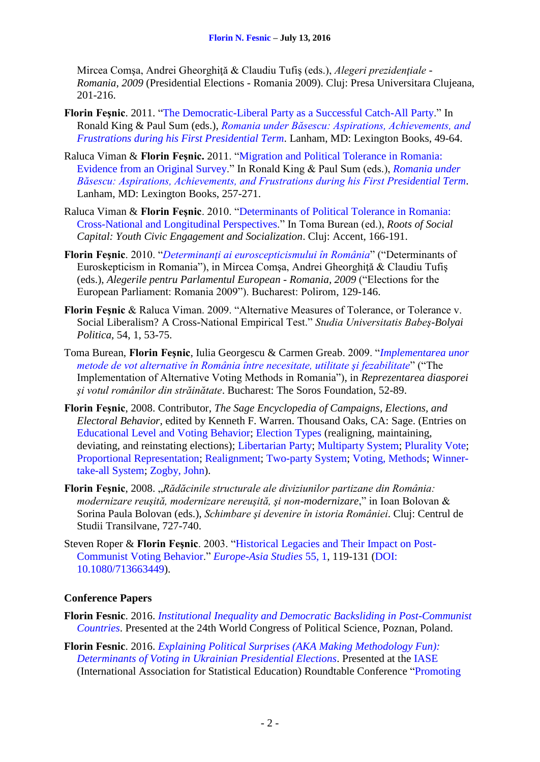Mircea Comsa, Andrei Gheorghită & Claudiu Tufis (eds.), *Alegeri prezidentiale -Romania, 2009* (Presidential Elections - Romania 2009). Cluj: Presa Universitara Clujeana, 201-216.

- **Florin Feşnic**. 2011. ["The Democratic-Liberal Party as a Successful Catch-All Party.](https://dl.dropboxusercontent.com/u/19532654/Fesnic-Proofs-2.pdf)" In Ronald King & Paul Sum (eds.), *[Romania under Băsescu: Aspirations, Achievements, and](http://www.amazon.com/Romania-under-Basescu-Achievements-Frustrations/dp/0739148567/ref=sr_1_1?s=books&ie=UTF8&qid=1441803169&sr=1-1&keywords=romania+under+basescu)  [Frustrations during his First Presidential Term](http://www.amazon.com/Romania-under-Basescu-Achievements-Frustrations/dp/0739148567/ref=sr_1_1?s=books&ie=UTF8&qid=1441803169&sr=1-1&keywords=romania+under+basescu)*. Lanham, MD: Lexington Books, 49-64.
- Raluca Viman & **Florin Feşnic.** 2011. ["Migration and Political Tolerance in Romania:](https://dl.dropboxusercontent.com/u/19532654/viman_fesnic.pdf)  [Evidence from an Original Survey.](https://dl.dropboxusercontent.com/u/19532654/viman_fesnic.pdf)" In Ronald King & Paul Sum (eds.), *[Romania under](http://www.amazon.com/Romania-under-Basescu-Achievements-Frustrations/dp/0739148567/ref=sr_1_1?s=books&ie=UTF8&qid=1441803169&sr=1-1&keywords=romania+under+basescu)  [Băsescu: Aspirations, Achievements, and Frustrations during his First Presidential Term](http://www.amazon.com/Romania-under-Basescu-Achievements-Frustrations/dp/0739148567/ref=sr_1_1?s=books&ie=UTF8&qid=1441803169&sr=1-1&keywords=romania+under+basescu)*. Lanham, MD: Lexington Books, 257-271.
- Raluca Viman & **Florin Feşnic**. 2010. ["Determinants of Political Tolerance in Romania:](https://dl.dropboxusercontent.com/u/19532654/CSD_2010.pdf)  [Cross-National and Longitudinal Perspectives.](https://dl.dropboxusercontent.com/u/19532654/CSD_2010.pdf)" In Toma Burean (ed.), *Roots of Social Capital: Youth Civic Engagement and Socialization*. Cluj: Accent, 166-191.
- **Florin Feşnic**. 2010. "*[Determinanţi ai euroscepticismului în România](https://dl.dropboxusercontent.com/u/19532654/Polirom_2010.pdf)*" ("Determinants of Euroskepticism in Romania"), in Mircea Comşa, Andrei Gheorghiţă & Claudiu Tufiş (eds.), *Alegerile pentru Parlamentul European - Romania, 2009* ("Elections for the European Parliament: Romania 2009"). Bucharest: Polirom, 129-146.
- **Florin Feşnic** & Raluca Viman. 2009. "Alternative Measures of Tolerance, or Tolerance v. Social Liberalism? A Cross-National Empirical Test." *Studia Universitatis Babeş-Bolyai Politica*, 54, 1, 53-75.
- Toma Burean, **Florin Feşnic**, Iulia Georgescu & Carmen Greab. 2009. "*[Implementarea unor](https://dl.dropboxusercontent.com/u/19532654/metode_de_vot.pdf)  [metode de vot alternative în România între necesitate, utilitate şi fezabilitate](https://dl.dropboxusercontent.com/u/19532654/metode_de_vot.pdf)*" ("The Implementation of Alternative Voting Methods in Romania"), in *Reprezentarea diasporei şi votul românilor din străinătate*. Bucharest: The Soros Foundation, 52-89.
- **Florin Feşnic**, 2008. Contributor, *The Sage Encyclopedia of Campaigns, Elections, and Electoral Behavior*, edited by Kenneth F. Warren. Thousand Oaks, CA: Sage. (Entries on [Educational Level and Voting Behavior;](http://dl.dropbox.com/u/19532654/education_and_voting.pdf) [Election Types](http://dl.dropbox.com/u/19532654/election_types.pdf) (realigning, maintaining, deviating, and reinstating elections); [Libertarian Party;](http://dl.dropbox.com/u/19532654/libertarian_party.pdf) [Multiparty System;](http://dl.dropbox.com/u/19532654/multiparty_system.pdf) [Plurality Vote;](http://dl.dropbox.com/u/19532654/plurality_vote.pdf) [Proportional Representation;](http://dl.dropbox.com/u/19532654/proportional_representation.pdf) [Realignment;](http://dl.dropbox.com/u/19532654/realignment.pdf) [Two-party System;](http://dl.dropbox.com/u/19532654/two_party.pdf) [Voting, Methods;](http://dl.dropbox.com/u/19532654/voting_methods.pdf) [Winner](http://dl.dropbox.com/u/19532654/winner.pdf)[take-all System;](http://dl.dropbox.com/u/19532654/winner.pdf) [Zogby, John\)](http://dl.dropbox.com/u/19532654/zogby.pdf).
- **Florin Feşnic**, 2008. "*Rădăcinile structurale ale diviziunilor partizane din România: modernizare reuşită, modernizare nereuşită, şi non-modernizare*," in Ioan Bolovan & Sorina Paula Bolovan (eds.), *Schimbare şi devenire în istoria României*. Cluj: Centrul de Studii Transilvane, 727-740.
- Steven Roper & **Florin Feşnic**. 2003. ["Historical Legacies and Their Impact on Post-](https://dl.dropboxusercontent.com/u/19532654/E_fesnic_legacies.pdf)[Communist Voting Behavior.](https://dl.dropboxusercontent.com/u/19532654/E_fesnic_legacies.pdf)" *[Europe-Asia Studies](http://www.tandfonline.com/toc/ceas20/55/1)* 55, 1, 119-131 [\(DOI:](http://www.tandfonline.com/doi/abs/10.1080/713663449) [10.1080/713663449\)](http://www.tandfonline.com/doi/abs/10.1080/713663449).

### **Conference Papers**

- **Florin Fesnic**. 2016. *[Institutional Inequality and Democratic Backsliding in Post-Communist](https://wc2016.ipsa.org/my-ipsa/events/istanbul2016/paper/institutional-inequality-and-democratic-backsliding-post-communist)  [Countries](https://wc2016.ipsa.org/my-ipsa/events/istanbul2016/paper/institutional-inequality-and-democratic-backsliding-post-communist)*. Presented at the 24th World Congress of Political Science, Poznan, Poland.
- **Florin Fesnic**. 2016. *[Explaining Political Surprises \(AKA Making Methodology Fun\):](http://iase-web.org/conference/roundtable16/prelimpapers/Fesnic.pdf?1465567453)  [Determinants of Voting in Ukrainian Presidential Elections](http://iase-web.org/conference/roundtable16/prelimpapers/Fesnic.pdf?1465567453)*. Presented at the [IASE](http://iase-web.org/) (International Association for Statistical Education) Roundtable Conference ["Promoting](http://iase-web.org/conference/roundtable16/)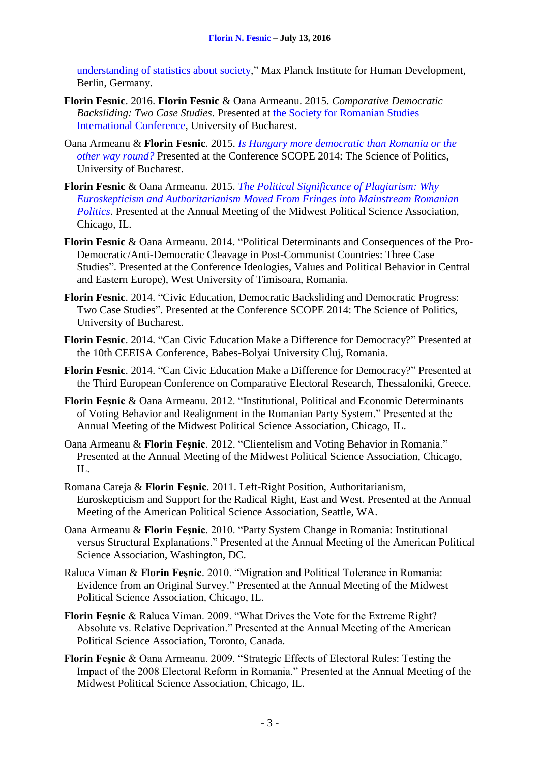[understanding of statistics about society,](http://iase-web.org/conference/roundtable16/)" Max Planck Institute for Human Development, Berlin, Germany.

- **Florin Fesnic**. 2016. **Florin Fesnic** & Oana Armeanu. 2015. *Comparative Democratic Backsliding: Two Case Studies*. Presented at [the Society for Romanian Studies](https://drive.google.com/file/d/0By9J1fwWvRZaRXdXRnVpaTRjZlpYMG9rTjBrWFdLQmdRTXZB/view)  [International Conference,](https://drive.google.com/file/d/0By9J1fwWvRZaRXdXRnVpaTRjZlpYMG9rTjBrWFdLQmdRTXZB/view) University of Bucharest.
- Oana Armeanu & **Florin Fesnic**. 2015. *[Is Hungary more democratic than Romania or the](https://drive.google.com/file/d/0B1VJPKXJC8W8elp5RmZqTXBnN3M/view?pli=1)  [other way round?](https://drive.google.com/file/d/0B1VJPKXJC8W8elp5RmZqTXBnN3M/view?pli=1)* Presented at the Conference SCOPE 2014: The Science of Politics, University of Bucharest.
- **Florin Fesnic** & Oana Armeanu. 2015. *[The Political Significance of Plagiarism: Why](https://dl.dropboxusercontent.com/u/19532654/mpsa_2015.pdf)  [Euroskepticism and Authoritarianism Moved From Fringes into Mainstream Romanian](https://dl.dropboxusercontent.com/u/19532654/mpsa_2015.pdf)  [Politics](https://dl.dropboxusercontent.com/u/19532654/mpsa_2015.pdf)*. Presented at the Annual Meeting of the Midwest Political Science Association, Chicago, IL.
- **Florin Fesnic** & Oana Armeanu. 2014. "Political Determinants and Consequences of the Pro-Democratic/Anti-Democratic Cleavage in Post-Communist Countries: Three Case Studies". Presented at the Conference Ideologies, Values and Political Behavior in Central and Eastern Europe), West University of Timisoara, Romania.
- **Florin Fesnic**. 2014. "Civic Education, Democratic Backsliding and Democratic Progress: Two Case Studies". Presented at the Conference SCOPE 2014: The Science of Politics, University of Bucharest.
- **Florin Fesnic**. 2014. "Can Civic Education Make a Difference for Democracy?" Presented at the 10th CEEISA Conference, Babes-Bolyai University Cluj, Romania.
- **Florin Fesnic**. 2014. "Can Civic Education Make a Difference for Democracy?" Presented at the Third European Conference on Comparative Electoral Research, Thessaloniki, Greece.
- **Florin Feşnic** & Oana Armeanu. 2012. "Institutional, Political and Economic Determinants of Voting Behavior and Realignment in the Romanian Party System." Presented at the Annual Meeting of the Midwest Political Science Association, Chicago, IL.
- Oana Armeanu & **Florin Feşnic**. 2012. "Clientelism and Voting Behavior in Romania." Presented at the Annual Meeting of the Midwest Political Science Association, Chicago, IL.
- Romana Careja & **Florin Feşnic**. 2011. Left-Right Position, Authoritarianism, Euroskepticism and Support for the Radical Right, East and West. Presented at the Annual Meeting of the American Political Science Association, Seattle, WA.
- Oana Armeanu & **Florin Feşnic**. 2010. "Party System Change in Romania: Institutional versus Structural Explanations." Presented at the Annual Meeting of the American Political Science Association, Washington, DC.
- Raluca Viman & **Florin Feşnic**. 2010. "Migration and Political Tolerance in Romania: Evidence from an Original Survey." Presented at the Annual Meeting of the Midwest Political Science Association, Chicago, IL.
- **Florin Feşnic** & Raluca Viman. 2009. "What Drives the Vote for the Extreme Right? Absolute vs. Relative Deprivation." Presented at the Annual Meeting of the American Political Science Association, Toronto, Canada.
- **Florin Feşnic** & Oana Armeanu. 2009. "Strategic Effects of Electoral Rules: Testing the Impact of the 2008 Electoral Reform in Romania." Presented at the Annual Meeting of the Midwest Political Science Association, Chicago, IL.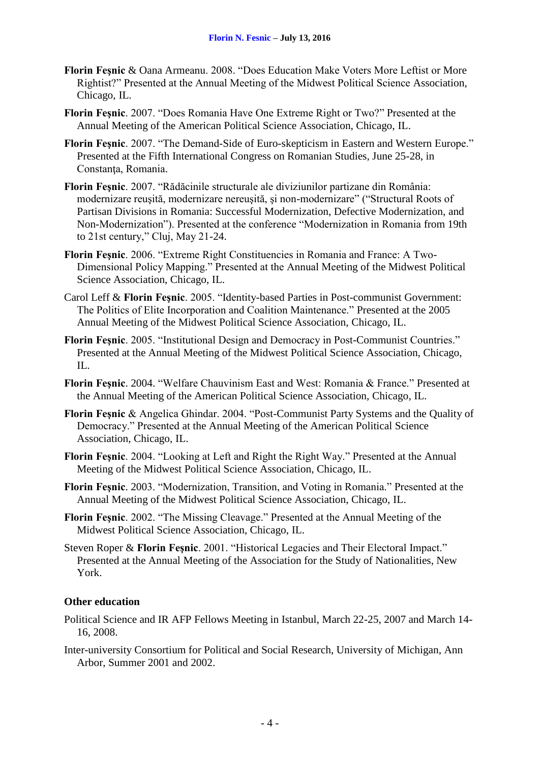- **Florin Feşnic** & Oana Armeanu. 2008. "Does Education Make Voters More Leftist or More Rightist?" Presented at the Annual Meeting of the Midwest Political Science Association, Chicago, IL.
- **Florin Feşnic**. 2007. "Does Romania Have One Extreme Right or Two?" Presented at the Annual Meeting of the American Political Science Association, Chicago, IL.
- **Florin Feşnic**. 2007. "The Demand-Side of Euro-skepticism in Eastern and Western Europe." Presented at the Fifth International Congress on Romanian Studies, June 25-28, in Constanța, Romania.
- **Florin Feşnic**. 2007. "Rădăcinile structurale ale diviziunilor partizane din România: modernizare reuşită, modernizare nereuşită, şi non-modernizare" ("Structural Roots of Partisan Divisions in Romania: Successful Modernization, Defective Modernization, and Non-Modernization"). Presented at the conference "Modernization in Romania from 19th to 21st century," Cluj, May 21-24.
- **Florin Feşnic**. 2006. "Extreme Right Constituencies in Romania and France: A Two-Dimensional Policy Mapping." Presented at the Annual Meeting of the Midwest Political Science Association, Chicago, IL.
- Carol Leff & **Florin Feşnic**. 2005. "Identity-based Parties in Post-communist Government: The Politics of Elite Incorporation and Coalition Maintenance." Presented at the 2005 Annual Meeting of the Midwest Political Science Association, Chicago, IL.
- **Florin Feşnic**. 2005. "Institutional Design and Democracy in Post-Communist Countries." Presented at the Annual Meeting of the Midwest Political Science Association, Chicago, IL.
- **Florin Feşnic**. 2004. "Welfare Chauvinism East and West: Romania & France." Presented at the Annual Meeting of the American Political Science Association, Chicago, IL.
- **Florin Feşnic** & Angelica Ghindar. 2004. "Post-Communist Party Systems and the Quality of Democracy." Presented at the Annual Meeting of the American Political Science Association, Chicago, IL.
- **Florin Feşnic**. 2004. "Looking at Left and Right the Right Way." Presented at the Annual Meeting of the Midwest Political Science Association, Chicago, IL.
- **Florin Feşnic**. 2003. "Modernization, Transition, and Voting in Romania." Presented at the Annual Meeting of the Midwest Political Science Association, Chicago, IL.
- **Florin Feşnic**. 2002. "The Missing Cleavage." Presented at the Annual Meeting of the Midwest Political Science Association, Chicago, IL.
- Steven Roper & **Florin Feşnic**. 2001. "Historical Legacies and Their Electoral Impact." Presented at the Annual Meeting of the Association for the Study of Nationalities, New York.

### **Other education**

- Political Science and IR AFP Fellows Meeting in Istanbul, March 22-25, 2007 and March 14- 16, 2008.
- Inter-university Consortium for Political and Social Research, University of Michigan, Ann Arbor, Summer 2001 and 2002.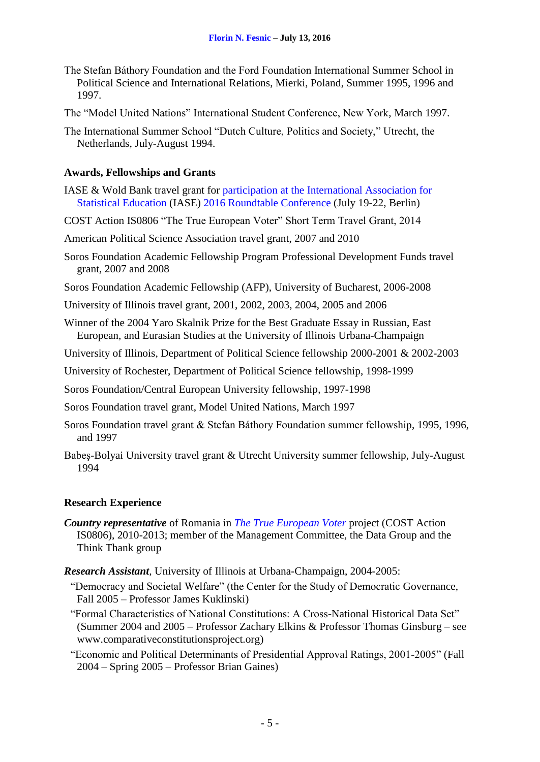- The Stefan Báthory Foundation and the Ford Foundation International Summer School in Political Science and International Relations, Mierki, Poland, Summer 1995, 1996 and 1997.
- The "Model United Nations" International Student Conference, New York, March 1997.
- The International Summer School "Dutch Culture, Politics and Society," Utrecht, the Netherlands, July-August 1994.

### **Awards, Fellowships and Grants**

- IASE & Wold Bank travel grant for [participation at the International Association for](http://iase-web.org/conference/roundtable16/prelimpapers/Fesnic.pdf?1465567453) [Statistical Education](http://iase-web.org/conference/roundtable16/prelimpapers/Fesnic.pdf?1465567453) (IASE) [2016 Roundtable Conference](http://iase-web.org/conference/roundtable16/) (July 19-22, Berlin)
- COST Action IS0806 "The True European Voter" Short Term Travel Grant, 2014
- American Political Science Association travel grant, 2007 and 2010
- Soros Foundation Academic Fellowship Program Professional Development Funds travel grant, 2007 and 2008
- Soros Foundation Academic Fellowship (AFP), University of Bucharest, 2006-2008
- University of Illinois travel grant, 2001, 2002, 2003, 2004, 2005 and 2006
- Winner of the 2004 Yaro Skalnik Prize for the Best Graduate Essay in Russian, East European, and Eurasian Studies at the University of Illinois Urbana-Champaign
- University of Illinois, Department of Political Science fellowship 2000-2001 & 2002-2003
- University of Rochester, Department of Political Science fellowship, 1998-1999
- Soros Foundation/Central European University fellowship, 1997-1998
- Soros Foundation travel grant, Model United Nations, March 1997
- Soros Foundation travel grant & Stefan Báthory Foundation summer fellowship, 1995, 1996, and 1997
- Babeş-Bolyai University travel grant & Utrecht University summer fellowship, July-August 1994

### **Research Experience**

- *Country representative* of Romania in *The True European Voter* project (COST Action IS0806), 2010-2013; member of the Management Committee, the Data Group and the Think Thank group
- *Research Assistant*, University of Illinois at Urbana-Champaign, 2004-2005:
	- "Democracy and Societal Welfare" (the Center for the Study of Democratic Governance, Fall 2005 – Professor James Kuklinski)
	- "Formal Characteristics of National Constitutions: A Cross-National Historical Data Set" (Summer 2004 and 2005 – Professor Zachary Elkins & Professor Thomas Ginsburg – see www.comparativeconstitutionsproject.org)
	- "Economic and Political Determinants of Presidential Approval Ratings, 2001-2005" (Fall 2004 – Spring 2005 – Professor Brian Gaines)